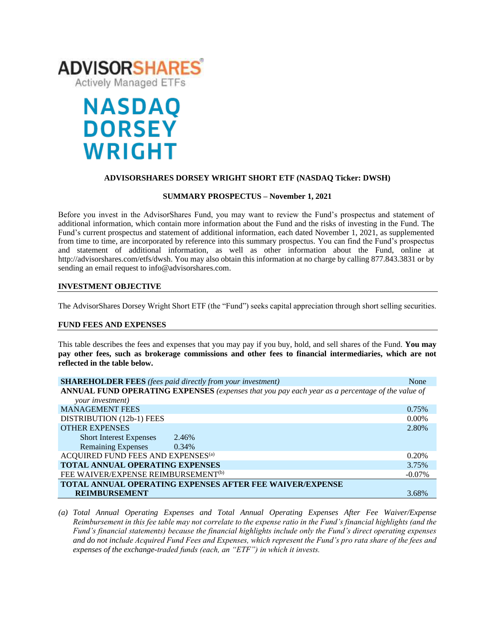

# **NASDAQ DORSEY WRIGHT**

### **ADVISORSHARES DORSEY WRIGHT SHORT ETF (NASDAQ Ticker: DWSH)**

### **SUMMARY PROSPECTUS – November 1, 2021**

Before you invest in the AdvisorShares Fund, you may want to review the Fund's prospectus and statement of additional information, which contain more information about the Fund and the risks of investing in the Fund. The Fund's [current prospectus and statement of additional information,](https://www.sec.gov/ix?doc=/Archives/edgar/data/1408970/000182912621013072/ck0001408970-20210630.htm) each dated November 1, 2021, as supplemented from time to time, are incorporated by reference into this summary prospectus. You can find the Fund's prospectus and statement of additional information, as well as other information about the Fund, online at http://advisorshares.com/etfs/dwsh. You may also obtain this information at no charge by calling 877.843.3831 or by sending an email request to info@advisorshares.com.

### **INVESTMENT OBJECTIVE**

The AdvisorShares Dorsey Wright Short ETF (the "Fund") seeks capital appreciation through short selling securities.

#### **FUND FEES AND EXPENSES**

This table describes the fees and expenses that you may pay if you buy, hold, and sell shares of the Fund*.* **You may pay other fees, such as brokerage commissions and other fees to financial intermediaries, which are not reflected in the table below.**

| <b>SHAREHOLDER FEES</b> (fees paid directly from your investment)                               | None      |  |
|-------------------------------------------------------------------------------------------------|-----------|--|
| ANNUAL FUND OPERATING EXPENSES (expenses that you pay each year as a percentage of the value of |           |  |
| your investment)                                                                                |           |  |
| <b>MANAGEMENT FEES</b>                                                                          | 0.75%     |  |
| DISTRIBUTION (12b-1) FEES                                                                       | $0.00\%$  |  |
| <b>OTHER EXPENSES</b>                                                                           | 2.80%     |  |
| <b>Short Interest Expenses</b><br>2.46%                                                         |           |  |
| <b>Remaining Expenses</b><br>$0.34\%$                                                           |           |  |
| ACQUIRED FUND FEES AND EXPENSES $\!{\scriptscriptstyle (a)}$                                    | 0.20%     |  |
| TOTAL ANNUAL OPERATING EXPENSES                                                                 | 3.75%     |  |
| FEE WAIVER/EXPENSE REIMBURSEMENT <sup>(b)</sup>                                                 | $-0.07\%$ |  |
| <b>TOTAL ANNUAL OPERATING EXPENSES AFTER FEE WAIVER/EXPENSE</b>                                 |           |  |
| <b>REIMBURSEMENT</b>                                                                            | 3.68%     |  |

*(a) Total Annual Operating Expenses and Total Annual Operating Expenses After Fee Waiver/Expense Reimbursement in this fee table may not correlate to the expense ratio in the Fund's financial highlights (and the Fund's financial statements) because the financial highlights include only the Fund's direct operating expenses and do not include Acquired Fund Fees and Expenses, which represent the Fund's pro rata share of the fees and expenses of the exchange-traded funds (each, an "ETF") in which it invests.*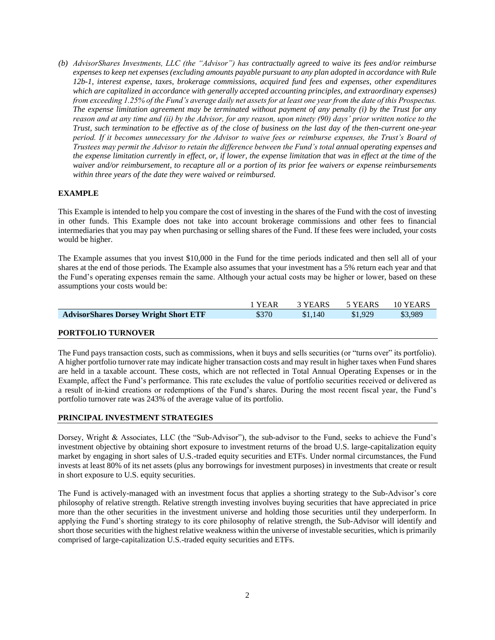*(b) AdvisorShares Investments, LLC (the "Advisor") has contractually agreed to waive its fees and/or reimburse expenses to keep net expenses (excluding amounts payable pursuant to any plan adopted in accordance with Rule 12b-1, interest expense, taxes, brokerage commissions, acquired fund fees and expenses, other expenditures*  which are capitalized in accordance with generally accepted accounting principles, and extraordinary expenses) *from exceeding 1.25% of the Fund's average daily net assets for at least one year from the date of this Prospectus. The expense limitation agreement may be terminated without payment of any penalty (i) by the Trust for any reason and at any time and (ii) by the Advisor, for any reason, upon ninety (90) days' prior written notice to the Trust, such termination to be effective as of the close of business on the last day of the then-current one-year period. If it becomes unnecessary for the Advisor to waive fees or reimburse expenses, the Trust's Board of Trustees may permit the Advisor to retain the difference between the Fund's total annual operating expenses and the expense limitation currently in effect, or, if lower, the expense limitation that was in effect at the time of the waiver and/or reimbursement, to recapture all or a portion of its prior fee waivers or expense reimbursements within three years of the date they were waived or reimbursed.*

### **EXAMPLE**

This Example is intended to help you compare the cost of investing in the shares of the Fund with the cost of investing in other funds. This Example does not take into account brokerage commissions and other fees to financial intermediaries that you may pay when purchasing or selling shares of the Fund. If these fees were included, your costs would be higher.

The Example assumes that you invest \$10,000 in the Fund for the time periods indicated and then sell all of your shares at the end of those periods. The Example also assumes that your investment has a 5% return each year and that the Fund's operating expenses remain the same. Although your actual costs may be higher or lower, based on these assumptions your costs would be:

|                                              | 1 YEAR | 3 YEARS 5 YEARS |         | 10 YEARS |
|----------------------------------------------|--------|-----------------|---------|----------|
| <b>AdvisorShares Dorsey Wright Short ETF</b> | \$370  | \$1.140         | \$1,929 | \$3.989  |

### **PORTFOLIO TURNOVER**

The Fund pays transaction costs, such as commissions, when it buys and sells securities (or "turns over" its portfolio). A higher portfolio turnover rate may indicate higher transaction costs and may result in higher taxes when Fund shares are held in a taxable account. These costs, which are not reflected in Total Annual Operating Expenses or in the Example, affect the Fund's performance. This rate excludes the value of portfolio securities received or delivered as a result of in-kind creations or redemptions of the Fund's shares. During the most recent fiscal year, the Fund's portfolio turnover rate was 243% of the average value of its portfolio.

### **PRINCIPAL INVESTMENT STRATEGIES**

Dorsey, Wright & Associates, LLC (the "Sub-Advisor"), the sub-advisor to the Fund, seeks to achieve the Fund's investment objective by obtaining short exposure to investment returns of the broad U.S. large-capitalization equity market by engaging in short sales of U.S.-traded equity securities and ETFs. Under normal circumstances, the Fund invests at least 80% of its net assets (plus any borrowings for investment purposes) in investments that create or result in short exposure to U.S. equity securities.

The Fund is actively-managed with an investment focus that applies a shorting strategy to the Sub-Advisor's core philosophy of relative strength. Relative strength investing involves buying securities that have appreciated in price more than the other securities in the investment universe and holding those securities until they underperform. In applying the Fund's shorting strategy to its core philosophy of relative strength, the Sub-Advisor will identify and short those securities with the highest relative weakness within the universe of investable securities, which is primarily comprised of large-capitalization U.S.-traded equity securities and ETFs.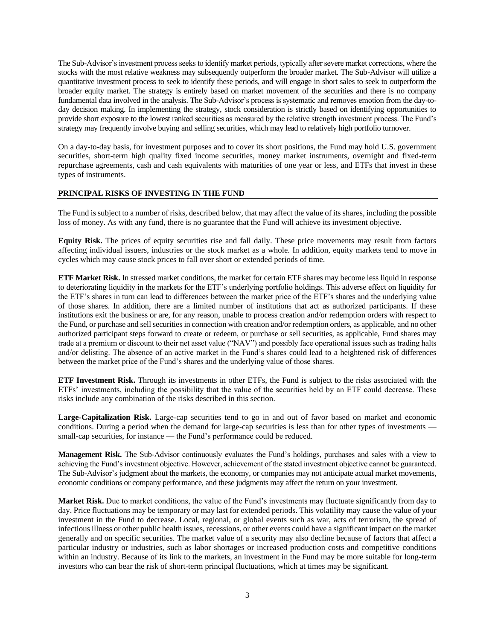The Sub-Advisor's investment process seeks to identify market periods, typically after severe market corrections, where the stocks with the most relative weakness may subsequently outperform the broader market. The Sub-Advisor will utilize a quantitative investment process to seek to identify these periods, and will engage in short sales to seek to outperform the broader equity market. The strategy is entirely based on market movement of the securities and there is no company fundamental data involved in the analysis. The Sub-Advisor's process is systematic and removes emotion from the day-today decision making. In implementing the strategy, stock consideration is strictly based on identifying opportunities to provide short exposure to the lowest ranked securities as measured by the relative strength investment process. The Fund's strategy may frequently involve buying and selling securities, which may lead to relatively high portfolio turnover.

On a day-to-day basis, for investment purposes and to cover its short positions, the Fund may hold U.S. government securities, short-term high quality fixed income securities, money market instruments, overnight and fixed-term repurchase agreements, cash and cash equivalents with maturities of one year or less, and ETFs that invest in these types of instruments.

### **PRINCIPAL RISKS OF INVESTING IN THE FUND**

The Fund is subject to a number of risks, described below, that may affect the value of its shares, including the possible loss of money. As with any fund, there is no guarantee that the Fund will achieve its investment objective.

**Equity Risk.** The prices of equity securities rise and fall daily. These price movements may result from factors affecting individual issuers, industries or the stock market as a whole. In addition, equity markets tend to move in cycles which may cause stock prices to fall over short or extended periods of time.

**ETF Market Risk.** In stressed market conditions, the market for certain ETF shares may become less liquid in response to deteriorating liquidity in the markets for the ETF's underlying portfolio holdings. This adverse effect on liquidity for the ETF's shares in turn can lead to differences between the market price of the ETF's shares and the underlying value of those shares. In addition, there are a limited number of institutions that act as authorized participants. If these institutions exit the business or are, for any reason, unable to process creation and/or redemption orders with respect to the Fund, or purchase and sell securities in connection with creation and/or redemption orders, as applicable, and no other authorized participant steps forward to create or redeem, or purchase or sell securities, as applicable, Fund shares may trade at a premium or discount to their net asset value ("NAV") and possibly face operational issues such as trading halts and/or delisting. The absence of an active market in the Fund's shares could lead to a heightened risk of differences between the market price of the Fund's shares and the underlying value of those shares.

**ETF Investment Risk.** Through its investments in other ETFs, the Fund is subject to the risks associated with the ETFs' investments, including the possibility that the value of the securities held by an ETF could decrease. These risks include any combination of the risks described in this section.

**Large-Capitalization Risk.** Large-cap securities tend to go in and out of favor based on market and economic conditions. During a period when the demand for large-cap securities is less than for other types of investments small-cap securities, for instance — the Fund's performance could be reduced.

**Management Risk.** The Sub-Advisor continuously evaluates the Fund's holdings, purchases and sales with a view to achieving the Fund's investment objective. However, achievement of the stated investment objective cannot be guaranteed. The Sub-Advisor's judgment about the markets, the economy, or companies may not anticipate actual market movements, economic conditions or company performance, and these judgments may affect the return on your investment.

**Market Risk.** Due to market conditions, the value of the Fund's investments may fluctuate significantly from day to day. Price fluctuations may be temporary or may last for extended periods. This volatility may cause the value of your investment in the Fund to decrease. Local, regional, or global events such as war, acts of terrorism, the spread of infectious illness or other public health issues, recessions, or other events could have a significant impact on the market generally and on specific securities. The market value of a security may also decline because of factors that affect a particular industry or industries, such as labor shortages or increased production costs and competitive conditions within an industry. Because of its link to the markets, an investment in the Fund may be more suitable for long-term investors who can bear the risk of short-term principal fluctuations, which at times may be significant.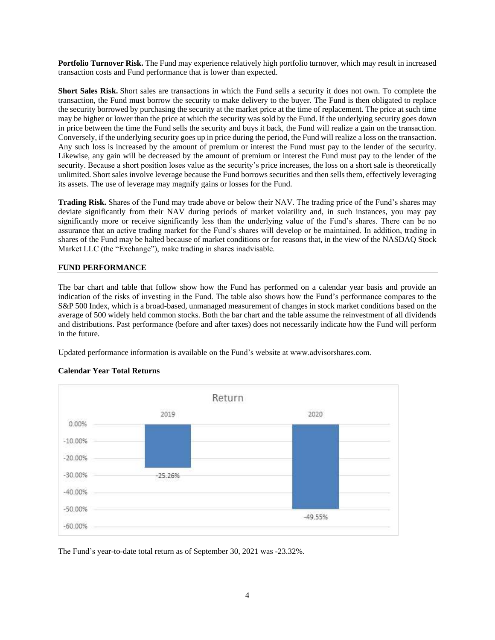**Portfolio Turnover Risk.** The Fund may experience relatively high portfolio turnover, which may result in increased transaction costs and Fund performance that is lower than expected.

**Short Sales Risk.** Short sales are transactions in which the Fund sells a security it does not own. To complete the transaction, the Fund must borrow the security to make delivery to the buyer. The Fund is then obligated to replace the security borrowed by purchasing the security at the market price at the time of replacement. The price at such time may be higher or lower than the price at which the security was sold by the Fund. If the underlying security goes down in price between the time the Fund sells the security and buys it back, the Fund will realize a gain on the transaction. Conversely, if the underlying security goes up in price during the period, the Fund will realize a loss on the transaction. Any such loss is increased by the amount of premium or interest the Fund must pay to the lender of the security. Likewise, any gain will be decreased by the amount of premium or interest the Fund must pay to the lender of the security. Because a short position loses value as the security's price increases, the loss on a short sale is theoretically unlimited. Short sales involve leverage because the Fund borrows securities and then sells them, effectively leveraging its assets. The use of leverage may magnify gains or losses for the Fund.

**Trading Risk.** Shares of the Fund may trade above or below their NAV. The trading price of the Fund's shares may deviate significantly from their NAV during periods of market volatility and, in such instances, you may pay significantly more or receive significantly less than the underlying value of the Fund's shares. There can be no assurance that an active trading market for the Fund's shares will develop or be maintained. In addition, trading in shares of the Fund may be halted because of market conditions or for reasons that, in the view of the NASDAQ Stock Market LLC (the "Exchange"), make trading in shares inadvisable.

### **FUND PERFORMANCE**

The bar chart and table that follow show how the Fund has performed on a calendar year basis and provide an indication of the risks of investing in the Fund. The table also shows how the Fund's performance compares to the S&P 500 Index, which is a broad-based, unmanaged measurement of changes in stock market conditions based on the average of 500 widely held common stocks. Both the bar chart and the table assume the reinvestment of all dividends and distributions. Past performance (before and after taxes) does not necessarily indicate how the Fund will perform in the future.

Updated performance information is available on the Fund's website at www.advisorshares.com.

# Return 2019 2020 0.00%  $-10.00%$  $-20.00%$  $-30.00%$  $-25.26%$  $-40.00%$  $-50.00%$  $-49.55%$  $-60.00%$

### **Calendar Year Total Returns**

The Fund's year-to-date total return as of September 30, 2021 was -23.32%.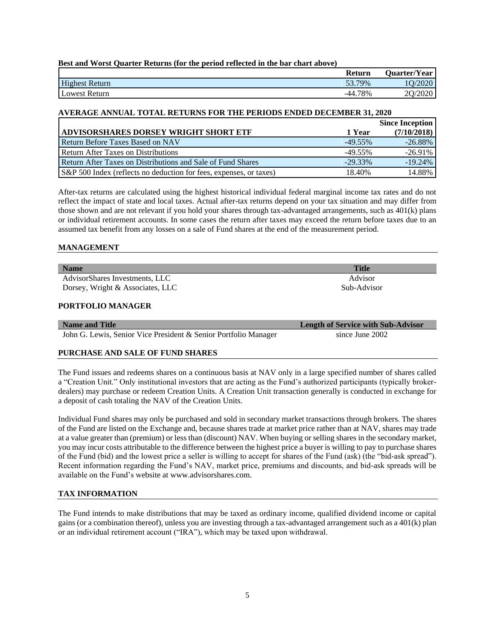5

## **Best and Worst Quarter Returns (for the period reflected in the bar chart above)**

|                       | Return  | <b>Ouarter/Year</b> |
|-----------------------|---------|---------------------|
| <b>Highest Return</b> | 53.79%  | 1O/2020             |
| Lowest Return         | -44.78% | 2Q/2020             |

### **AVERAGE ANNUAL TOTAL RETURNS FOR THE PERIODS ENDED DECEMBER 31, 2020**

|                                                                    |            | <b>Since Inception</b> |
|--------------------------------------------------------------------|------------|------------------------|
| ADVISORSHARES DORSEY WRIGHT SHORT ETF                              | 1 Year     | (7/10/2018)            |
| <b>Return Before Taxes Based on NAV</b>                            | $-49.55\%$ | $-26.88\%$             |
| <b>Return After Taxes on Distributions</b>                         | $-49.55\%$ | $-26.91%$              |
| Return After Taxes on Distributions and Sale of Fund Shares        | $-29.33\%$ | $-19.24%$              |
| S&P 500 Index (reflects no deduction for fees, expenses, or taxes) | 18.40%     | 14.88%                 |

After-tax returns are calculated using the highest historical individual federal marginal income tax rates and do not reflect the impact of state and local taxes. Actual after-tax returns depend on your tax situation and may differ from those shown and are not relevant if you hold your shares through tax-advantaged arrangements, such as 401(k) plans or individual retirement accounts. In some cases the return after taxes may exceed the return before taxes due to an assumed tax benefit from any losses on a sale of Fund shares at the end of the measurement period.

### **MANAGEMENT**

| <b>Name</b>                      | <b>Title</b> |
|----------------------------------|--------------|
| AdvisorShares Investments, LLC   | Advisor      |
| Dorsey, Wright & Associates, LLC | Sub-Advisor  |

### **PORTFOLIO MANAGER**

| Name and Title                                                  | <b>Length of Service with Sub-Advisor</b> |
|-----------------------------------------------------------------|-------------------------------------------|
| John G. Lewis, Senior Vice President & Senior Portfolio Manager | since June 2002                           |

### **PURCHASE AND SALE OF FUND SHARES**

The Fund issues and redeems shares on a continuous basis at NAV only in a large specified number of shares called a "Creation Unit." Only institutional investors that are acting as the Fund's authorized participants (typically brokerdealers) may purchase or redeem Creation Units. A Creation Unit transaction generally is conducted in exchange for a deposit of cash totaling the NAV of the Creation Units.

Individual Fund shares may only be purchased and sold in secondary market transactions through brokers. The shares of the Fund are listed on the Exchange and, because shares trade at market price rather than at NAV, shares may trade at a value greater than (premium) or less than (discount) NAV. When buying or selling shares in the secondary market, you may incur costs attributable to the difference between the highest price a buyer is willing to pay to purchase shares of the Fund (bid) and the lowest price a seller is willing to accept for shares of the Fund (ask) (the "bid-ask spread"). Recent information regarding the Fund's NAV, market price, premiums and discounts, and bid-ask spreads will be available on the Fund's website at www.advisorshares.com.

### **TAX INFORMATION**

The Fund intends to make distributions that may be taxed as ordinary income, qualified dividend income or capital gains (or a combination thereof), unless you are investing through a tax-advantaged arrangement such as a  $401(k)$  plan or an individual retirement account ("IRA"), which may be taxed upon withdrawal.